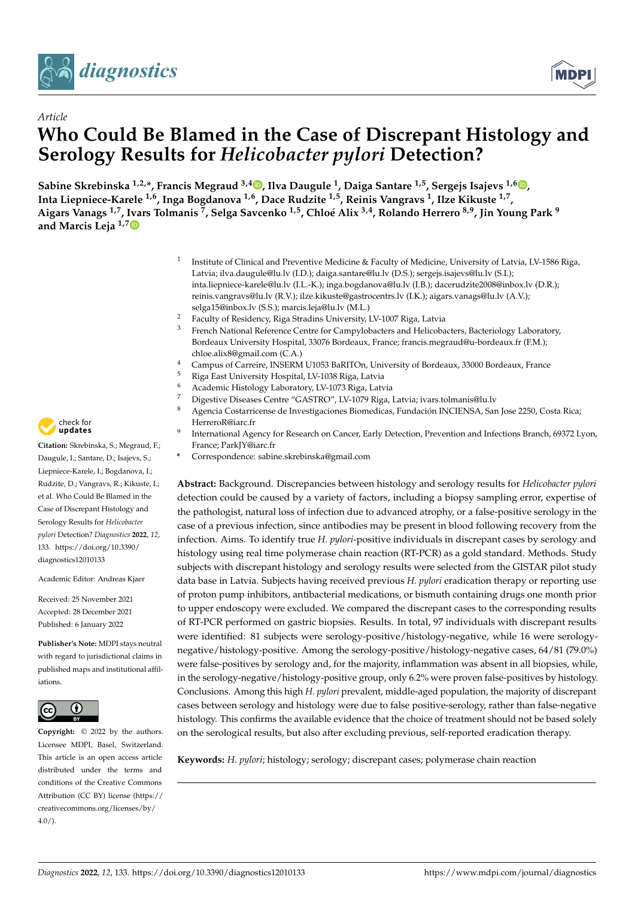



# *Article* **Who Could Be Blamed in the Case of Discrepant Histology and Serology Results for** *Helicobacter pylori* **Detection?**

**Sabine Skrebinska 1,2,\*, Francis Megraud 3,4 [,](https://orcid.org/0000-0002-2481-1612) Ilva Daugule <sup>1</sup> , Daiga Santare 1,5, Sergejs Isajevs 1,6 [,](https://orcid.org/0000-0001-7159-0464) Inta Liepniece-Karele 1,6, Inga Bogdanova 1,6, Dace Rudzite 1,5, Reinis Vangravs <sup>1</sup> , Ilze Kikuste 1,7 , Aigars Vanags 1,7, [Iva](https://orcid.org/0000-0002-0319-8855)rs Tolmanis <sup>7</sup> , Selga Savcenko 1,5, Chloé Alix 3,4, Rolando Herrero 8,9, Jin Young Park <sup>9</sup> and Marcis Leja 1,7**

- 1 Institute of Clinical and Preventive Medicine & Faculty of Medicine, University of Latvia, LV-1586 Riga, Latvia; ilva.daugule@lu.lv (I.D.); daiga.santare@lu.lv (D.S.); sergejs.isajevs@lu.lv (S.I.); inta.liepniece-karele@lu.lv (I.L.-K.); inga.bogdanova@lu.lv (I.B.); dacerudzite2008@inbox.lv (D.R.); reinis.vangravs@lu.lv (R.V.); ilze.kikuste@gastrocentrs.lv (I.K.); aigars.vanags@lu.lv (A.V.); selga15@inbox.lv (S.S.); marcis.leja@lu.lv (M.L.)
- <sup>2</sup> Faculty of Residency, Riga Stradins University, LV-1007 Riga, Latvia
- <sup>3</sup> French National Reference Centre for Campylobacters and Helicobacters, Bacteriology Laboratory, Bordeaux University Hospital, 33076 Bordeaux, France; francis.megraud@u-bordeaux.fr (F.M.); chloe.alix8@gmail.com (C.A.)
- <sup>4</sup> Campus of Carreire, INSERM U1053 BaRITOn, University of Bordeaux, 33000 Bordeaux, France
- <sup>5</sup> Riga East University Hospital, LV-1038 Riga, Latvia
- <sup>6</sup> Academic Histology Laboratory, LV-1073 Riga, Latvia
- <sup>7</sup> Digestive Diseases Centre "GASTRO", LV-1079 Riga, Latvia; ivars.tolmanis@lu.lv
- <sup>8</sup> Agencia Costarricense de Investigaciones Biomedicas, Fundación INCIENSA, San Jose 2250, Costa Rica; HerreroR@iarc.fr
- 9 International Agency for Research on Cancer, Early Detection, Prevention and Infections Branch, 69372 Lyon, France; ParkJY@iarc.fr
- **\*** Correspondence: sabine.skrebinska@gmail.com

**Abstract:** Background. Discrepancies between histology and serology results for *Helicobacter pylori* detection could be caused by a variety of factors, including a biopsy sampling error, expertise of the pathologist, natural loss of infection due to advanced atrophy, or a false-positive serology in the case of a previous infection, since antibodies may be present in blood following recovery from the infection. Aims. To identify true *H. pylori*-positive individuals in discrepant cases by serology and histology using real time polymerase chain reaction (RT-PCR) as a gold standard. Methods. Study subjects with discrepant histology and serology results were selected from the GISTAR pilot study data base in Latvia. Subjects having received previous *H. pylori* eradication therapy or reporting use of proton pump inhibitors, antibacterial medications, or bismuth containing drugs one month prior to upper endoscopy were excluded. We compared the discrepant cases to the corresponding results of RT-PCR performed on gastric biopsies. Results. In total, 97 individuals with discrepant results were identified: 81 subjects were serology-positive/histology-negative, while 16 were serologynegative/histology-positive. Among the serology-positive/histology-negative cases, 64/81 (79.0%) were false-positives by serology and, for the majority, inflammation was absent in all biopsies, while, in the serology-negative/histology-positive group, only 6.2% were proven false-positives by histology. Conclusions. Among this high *H. pylori* prevalent, middle-aged population, the majority of discrepant cases between serology and histology were due to false positive-serology, rather than false-negative histology. This confirms the available evidence that the choice of treatment should not be based solely on the serological results, but also after excluding previous, self-reported eradication therapy.

**Keywords:** *H. pylori*; histology; serology; discrepant cases; polymerase chain reaction



**Citation:** Skrebinska, S.; Megraud, F.; Daugule, I.; Santare, D.; Isajevs, S.; Liepniece-Karele, I.; Bogdanova, I.; Rudzite, D.; Vangravs, R.; Kikuste, I.; et al. Who Could Be Blamed in the Case of Discrepant Histology and Serology Results for *Helicobacter pylori* Detection? *Diagnostics* **2022**, *12*, 133. [https://doi.org/10.3390/](https://doi.org/10.3390/diagnostics12010133) [diagnostics12010133](https://doi.org/10.3390/diagnostics12010133)

Academic Editor: Andreas Kjaer

Received: 25 November 2021 Accepted: 28 December 2021 Published: 6 January 2022

**Publisher's Note:** MDPI stays neutral with regard to jurisdictional claims in published maps and institutional affiliations.



**Copyright:** © 2022 by the authors. Licensee MDPI, Basel, Switzerland. This article is an open access article distributed under the terms and conditions of the Creative Commons Attribution (CC BY) license [\(https://](https://creativecommons.org/licenses/by/4.0/) [creativecommons.org/licenses/by/](https://creativecommons.org/licenses/by/4.0/)  $4.0/$ ).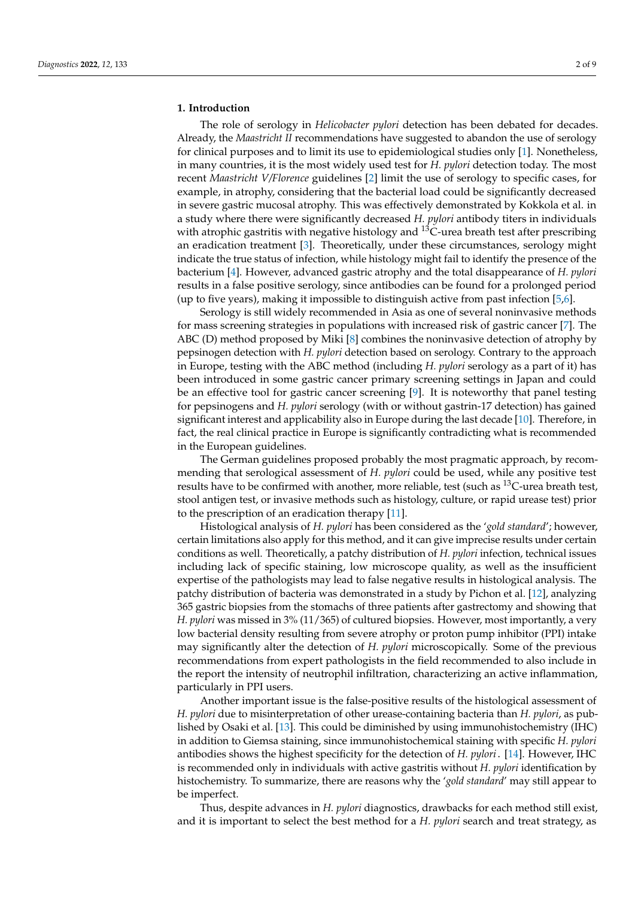## **1. Introduction**

The role of serology in *Helicobacter pylori* detection has been debated for decades. Already, the *Maastricht II* recommendations have suggested to abandon the use of serology for clinical purposes and to limit its use to epidemiological studies only [\[1\]](#page-7-0). Nonetheless, in many countries, it is the most widely used test for *H. pylori* detection today. The most recent *Maastricht V/Florence* guidelines [\[2\]](#page-7-1) limit the use of serology to specific cases, for example, in atrophy, considering that the bacterial load could be significantly decreased in severe gastric mucosal atrophy. This was effectively demonstrated by Kokkola et al. in a study where there were significantly decreased *H. pylori* antibody titers in individuals with atrophic gastritis with negative histology and  $^{13}$ C-urea breath test after prescribing an eradication treatment [\[3\]](#page-7-2). Theoretically, under these circumstances, serology might indicate the true status of infection, while histology might fail to identify the presence of the bacterium [\[4\]](#page-7-3). However, advanced gastric atrophy and the total disappearance of *H. pylori* results in a false positive serology, since antibodies can be found for a prolonged period (up to five years), making it impossible to distinguish active from past infection [\[5](#page-7-4)[,6\]](#page-7-5).

Serology is still widely recommended in Asia as one of several noninvasive methods for mass screening strategies in populations with increased risk of gastric cancer [\[7\]](#page-8-0). The ABC (D) method proposed by Miki [\[8\]](#page-8-1) combines the noninvasive detection of atrophy by pepsinogen detection with *H. pylori* detection based on serology. Contrary to the approach in Europe, testing with the ABC method (including *H. pylori* serology as a part of it) has been introduced in some gastric cancer primary screening settings in Japan and could be an effective tool for gastric cancer screening [\[9\]](#page-8-2). It is noteworthy that panel testing for pepsinogens and *H. pylori* serology (with or without gastrin-17 detection) has gained significant interest and applicability also in Europe during the last decade [\[10\]](#page-8-3). Therefore, in fact, the real clinical practice in Europe is significantly contradicting what is recommended in the European guidelines.

The German guidelines proposed probably the most pragmatic approach, by recommending that serological assessment of *H. pylori* could be used, while any positive test results have to be confirmed with another, more reliable, test (such as  $^{13}$ C-urea breath test, stool antigen test, or invasive methods such as histology, culture, or rapid urease test) prior to the prescription of an eradication therapy [\[11\]](#page-8-4).

Histological analysis of *H. pylori* has been considered as the '*gold standard*'; however, certain limitations also apply for this method, and it can give imprecise results under certain conditions as well. Theoretically, a patchy distribution of *H. pylori* infection, technical issues including lack of specific staining, low microscope quality, as well as the insufficient expertise of the pathologists may lead to false negative results in histological analysis. The patchy distribution of bacteria was demonstrated in a study by Pichon et al. [\[12\]](#page-8-5), analyzing 365 gastric biopsies from the stomachs of three patients after gastrectomy and showing that *H. pylori* was missed in 3% (11/365) of cultured biopsies. However, most importantly, a very low bacterial density resulting from severe atrophy or proton pump inhibitor (PPI) intake may significantly alter the detection of *H. pylori* microscopically. Some of the previous recommendations from expert pathologists in the field recommended to also include in the report the intensity of neutrophil infiltration, characterizing an active inflammation, particularly in PPI users.

Another important issue is the false-positive results of the histological assessment of *H. pylori* due to misinterpretation of other urease-containing bacteria than *H. pylori*, as published by Osaki et al. [\[13\]](#page-8-6). This could be diminished by using immunohistochemistry (IHC) in addition to Giemsa staining, since immunohistochemical staining with specific *H. pylori* antibodies shows the highest specificity for the detection of *H. pylori*. [\[14\]](#page-8-7). However, IHC is recommended only in individuals with active gastritis without *H. pylori* identification by histochemistry. To summarize, there are reasons why the '*gold standard*' may still appear to be imperfect.

Thus, despite advances in *H. pylori* diagnostics, drawbacks for each method still exist, and it is important to select the best method for a *H. pylori* search and treat strategy, as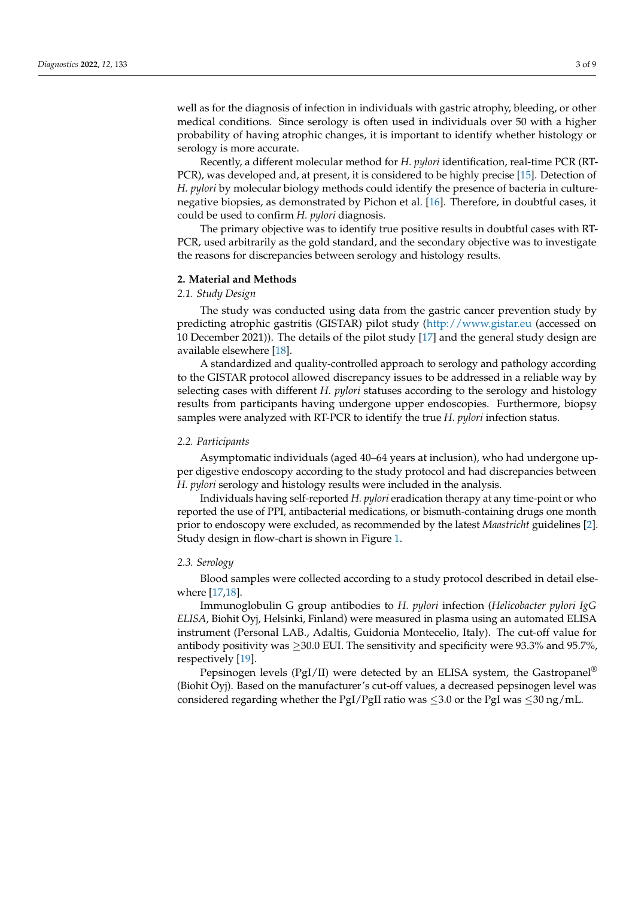well as for the diagnosis of infection in individuals with gastric atrophy, bleeding, or other medical conditions. Since serology is often used in individuals over 50 with a higher probability of having atrophic changes, it is important to identify whether histology or serology is more accurate.

Recently, a different molecular method for *H. pylori* identification, real-time PCR (RT-PCR), was developed and, at present, it is considered to be highly precise [\[15\]](#page-8-8). Detection of *H. pylori* by molecular biology methods could identify the presence of bacteria in culturenegative biopsies, as demonstrated by Pichon et al. [\[16\]](#page-8-9). Therefore, in doubtful cases, it could be used to confirm *H. pylori* diagnosis.

The primary objective was to identify true positive results in doubtful cases with RT-PCR, used arbitrarily as the gold standard, and the secondary objective was to investigate the reasons for discrepancies between serology and histology results.

#### **2. Material and Methods**

#### *2.1. Study Design*

The study was conducted using data from the gastric cancer prevention study by predicting atrophic gastritis (GISTAR) pilot study [\(http://www.gistar.eu](http://www.gistar.eu) (accessed on 10 December 2021)). The details of the pilot study [\[17\]](#page-8-10) and the general study design are available elsewhere [\[18\]](#page-8-11).

A standardized and quality-controlled approach to serology and pathology according to the GISTAR protocol allowed discrepancy issues to be addressed in a reliable way by selecting cases with different *H. pylori* statuses according to the serology and histology results from participants having undergone upper endoscopies. Furthermore, biopsy samples were analyzed with RT-PCR to identify the true *H. pylori* infection status.

#### *2.2. Participants*

Asymptomatic individuals (aged 40–64 years at inclusion), who had undergone upper digestive endoscopy according to the study protocol and had discrepancies between *H. pylori* serology and histology results were included in the analysis.

Individuals having self-reported *H. pylori* eradication therapy at any time-point or who reported the use of PPI, antibacterial medications, or bismuth-containing drugs one month prior to endoscopy were excluded, as recommended by the latest *Maastricht* guidelines [\[2\]](#page-7-1). Study design in flow-chart is shown in Figure [1.](#page-3-0)

# *2.3. Serology*

Blood samples were collected according to a study protocol described in detail elsewhere [\[17,](#page-8-10)[18\]](#page-8-11).

Immunoglobulin G group antibodies to *H. pylori* infection (*Helicobacter pylori IgG ELISA*, Biohit Oyj, Helsinki, Finland) were measured in plasma using an automated ELISA instrument (Personal LAB., Adaltis, Guidonia Montecelio, Italy). The cut-off value for antibody positivity was  $\geq$  30.0 EUI. The sensitivity and specificity were 93.3% and 95.7%, respectively [\[19\]](#page-8-12).

Pepsinogen levels (PgI/II) were detected by an ELISA system, the Gastropanel<sup>®</sup> (Biohit Oyj). Based on the manufacturer's cut-off values, a decreased pepsinogen level was considered regarding whether the PgI/PgII ratio was  $\leq$ 3.0 or the PgI was  $\leq$ 30 ng/mL.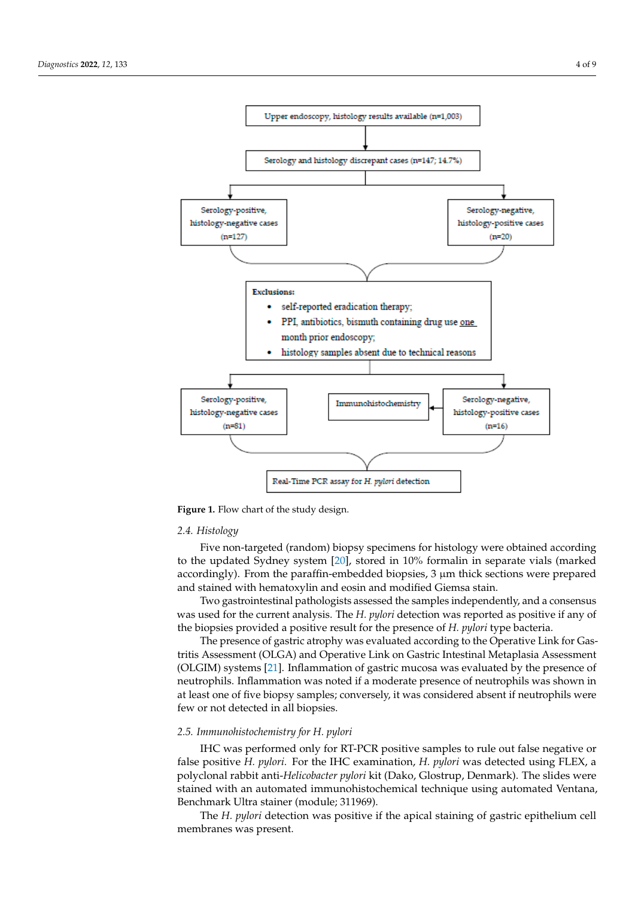<span id="page-3-0"></span>

**Figure 1.** Flow chart of the study design. **Figure 1.** Flow chart of the study design.

# *2.3. Serology 2.4. Histology*

Five non-targeted (random) biopsy specimens for histology were obtained according to the updated Sydney system [\[20\]](#page-8-13), stored in 10% formalin in separate vials (marked accordingly). From the paraffin-embedded biopsies, 3 µm thick sections were prepared and stained with hematoxylin and eosin and modified Giemsa stain.<br>**ELISA** with the plant of the plant of the plant of the plant of the plant of the plant of the plant of the plant

ELISA instrument (Personal LAB., Adam Content value of value of value of value of value of value of value of value of value of value of value of value of value of value of value of value of value of value of value of value was used for the current analysis. The *H. pylori* detection was reported as positive if any of<br>the hieraries annual advanced for the current and specifically in the current and specific Two gastrointestinal pathologists assessed the samples independently, and a consensus the biopsies provided a positive result for the presence of *H. pylori* type bacteria.

 $\frac{1}{2}$ Peper atrophy was evaluated according to the Operative Link for Gastropanel *(OLGA)* and Operative Link an Gastric Intestinal *Material* is Accessoriant (OLGIM) systems [\[21\]](#page-8-14). Inflammation of gastric mucosa was evaluated by the presence of  $(0.25m)$  goeing  $[2.1]$ . Inflammation or gastric material was structured by the presence of neutrophils. Inflammation was noted if a moderate presence of neutrophils was shown in *2.4. Histology*  few or not detected in all biopsies. tritis Assessment (OLGA) and Operative Link on Gastric Intestinal Metaplasia Assessment at least one of five biopsy samples; conversely, it was considered absent if neutrophils were

Five non-targeted (random) biopsy specimens for histology were obtained according

#### to the updated Sydney system [20], stored in 10% formalin in separate vials (marked ac-*2.5. Immunohistochemistry for H. pylori*

IHC was performed only for RT-PCR positive samples to rule out false negative or false positive *H. pylori.* For the IHC examination, *H. pylori* was detected using FLEX, a polyclonal rabbit anti-*Helicobacter pylori* kit (Dako, Glostrup, Denmark). The slides were stained with an automated immunohistochemical technique using automated Ventana, Benchmark Ultra stainer (module; 311969).

The *H. pylori* detection was positive if the apical staining of gastric epithelium cell membranes was present.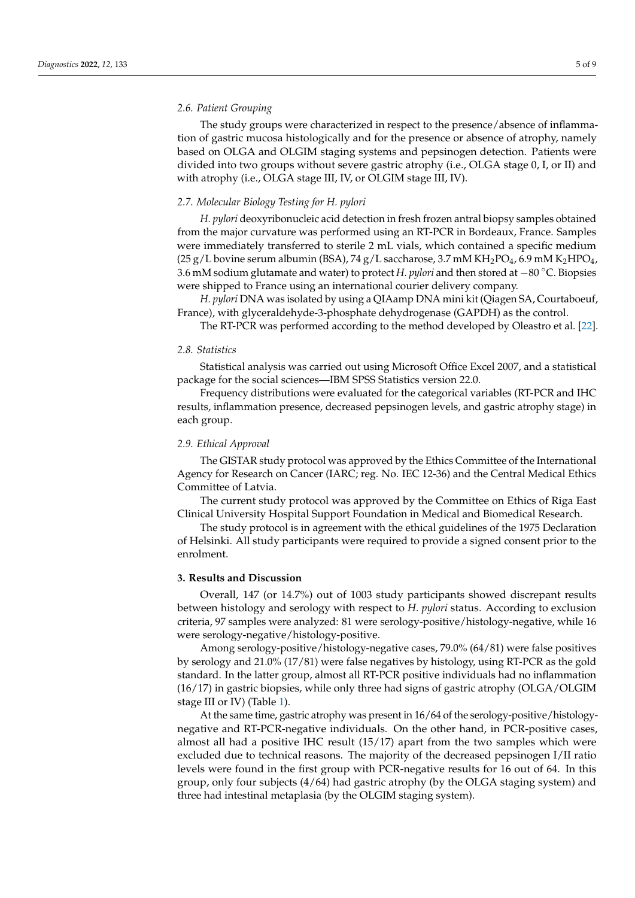#### *2.6. Patient Grouping*

The study groups were characterized in respect to the presence/absence of inflammation of gastric mucosa histologically and for the presence or absence of atrophy, namely based on OLGA and OLGIM staging systems and pepsinogen detection. Patients were divided into two groups without severe gastric atrophy (i.e., OLGA stage 0, I, or II) and with atrophy (i.e., OLGA stage III, IV, or OLGIM stage III, IV).

#### *2.7. Molecular Biology Testing for H. pylori*

*H. pylori* deoxyribonucleic acid detection in fresh frozen antral biopsy samples obtained from the major curvature was performed using an RT-PCR in Bordeaux, France. Samples were immediately transferred to sterile 2 mL vials, which contained a specific medium  $(25 g/L)$  bovine serum albumin (BSA), 74 g/L saccharose, 3.7 mM KH<sub>2</sub>PO<sub>4</sub>, 6.9 mM K<sub>2</sub>HPO<sub>4</sub>, 3.6 mM sodium glutamate and water) to protect *H. pylori* and then stored at −80 ◦C. Biopsies were shipped to France using an international courier delivery company.

*H. pylori* DNA was isolated by using a QIAamp DNA mini kit (Qiagen SA, Courtaboeuf, France), with glyceraldehyde-3-phosphate dehydrogenase (GAPDH) as the control.

The RT-PCR was performed according to the method developed by Oleastro et al. [\[22\]](#page-8-15).

#### *2.8. Statistics*

Statistical analysis was carried out using Microsoft Office Excel 2007, and a statistical package for the social sciences—IBM SPSS Statistics version 22.0.

Frequency distributions were evaluated for the categorical variables (RT-PCR and IHC results, inflammation presence, decreased pepsinogen levels, and gastric atrophy stage) in each group.

#### *2.9. Ethical Approval*

The GISTAR study protocol was approved by the Ethics Committee of the International Agency for Research on Cancer (IARC; reg. No. IEC 12-36) and the Central Medical Ethics Committee of Latvia.

The current study protocol was approved by the Committee on Ethics of Riga East Clinical University Hospital Support Foundation in Medical and Biomedical Research.

The study protocol is in agreement with the ethical guidelines of the 1975 Declaration of Helsinki. All study participants were required to provide a signed consent prior to the enrolment.

#### **3. Results and Discussion**

Overall, 147 (or 14.7%) out of 1003 study participants showed discrepant results between histology and serology with respect to *H. pylori* status. According to exclusion criteria, 97 samples were analyzed: 81 were serology-positive/histology-negative, while 16 were serology-negative/histology-positive.

Among serology-positive/histology-negative cases, 79.0% (64/81) were false positives by serology and 21.0% (17/81) were false negatives by histology, using RT-PCR as the gold standard. In the latter group, almost all RT-PCR positive individuals had no inflammation (16/17) in gastric biopsies, while only three had signs of gastric atrophy (OLGA/OLGIM stage III or IV) (Table [1\)](#page-5-0).

At the same time, gastric atrophy was present in 16/64 of the serology-positive/histologynegative and RT-PCR-negative individuals. On the other hand, in PCR-positive cases, almost all had a positive IHC result (15/17) apart from the two samples which were excluded due to technical reasons. The majority of the decreased pepsinogen I/II ratio levels were found in the first group with PCR-negative results for 16 out of 64. In this group, only four subjects (4/64) had gastric atrophy (by the OLGA staging system) and three had intestinal metaplasia (by the OLGIM staging system).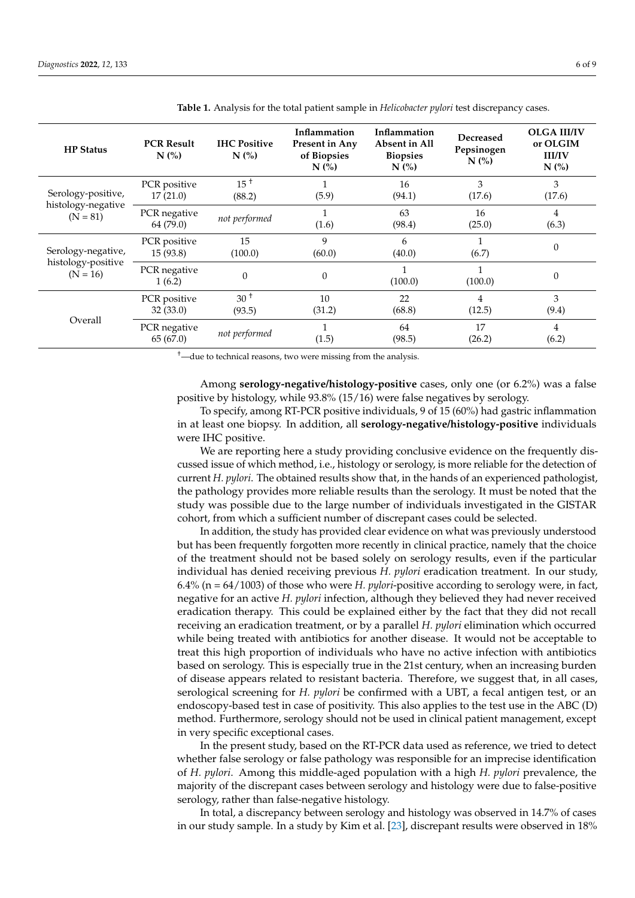| <b>HP</b> Status                                       | <b>PCR Result</b><br>$N$ $\left(\frac{9}{6}\right)$ | <b>IHC Positive</b><br>$N$ $\left(\frac{9}{6}\right)$ | Inflammation<br>Present in Any<br>of Biopsies<br>$N$ $\left(\frac{9}{6}\right)$ | Inflammation<br>Absent in All<br><b>Biopsies</b><br>$N$ $\left(\frac{9}{6}\right)$ | Decreased<br>Pepsinogen<br>$N$ (%) | <b>OLGA III/IV</b><br>or OLGIM<br><b>III/IV</b><br>$N$ (%) |
|--------------------------------------------------------|-----------------------------------------------------|-------------------------------------------------------|---------------------------------------------------------------------------------|------------------------------------------------------------------------------------|------------------------------------|------------------------------------------------------------|
| Serology-positive,<br>histology-negative<br>$(N = 81)$ | PCR positive<br>17(21.0)                            | $15^{\text{+}}$<br>(88.2)                             | (5.9)                                                                           | 16<br>(94.1)                                                                       | 3<br>(17.6)                        | 3<br>(17.6)                                                |
|                                                        | PCR negative<br>64 (79.0)                           | not performed                                         | (1.6)                                                                           | 63<br>(98.4)                                                                       | 16<br>(25.0)                       | 4<br>(6.3)                                                 |
| Serology-negative,<br>histology-positive<br>$(N = 16)$ | PCR positive<br>15(93.8)                            | 15<br>(100.0)                                         | 9<br>(60.0)                                                                     | 6<br>(40.0)                                                                        | (6.7)                              | $\Omega$                                                   |
|                                                        | PCR negative<br>1(6.2)                              | $\Omega$                                              | $\mathbf{0}$                                                                    | (100.0)                                                                            | (100.0)                            | $\theta$                                                   |
| Overall                                                | PCR positive<br>32(33.0)                            | 30 <sup>†</sup><br>(93.5)                             | 10<br>(31.2)                                                                    | 22<br>(68.8)                                                                       | 4<br>(12.5)                        | 3<br>(9.4)                                                 |
|                                                        | PCR negative<br>65(67.0)                            | not performed                                         | (1.5)                                                                           | 64<br>(98.5)                                                                       | 17<br>(26.2)                       | 4<br>(6.2)                                                 |

<span id="page-5-0"></span>**Table 1.** Analysis for the total patient sample in *Helicobacter pylori* test discrepancy cases.

†—due to technical reasons, two were missing from the analysis.

Among **serology-negative/histology-positive** cases, only one (or 6.2%) was a false positive by histology, while 93.8% (15/16) were false negatives by serology.

To specify, among RT-PCR positive individuals, 9 of 15 (60%) had gastric inflammation in at least one biopsy. In addition, all **serology-negative/histology-positive** individuals were IHC positive.

We are reporting here a study providing conclusive evidence on the frequently discussed issue of which method, i.e., histology or serology, is more reliable for the detection of current *H. pylori*. The obtained results show that, in the hands of an experienced pathologist, the pathology provides more reliable results than the serology. It must be noted that the study was possible due to the large number of individuals investigated in the GISTAR cohort, from which a sufficient number of discrepant cases could be selected.

In addition, the study has provided clear evidence on what was previously understood but has been frequently forgotten more recently in clinical practice, namely that the choice of the treatment should not be based solely on serology results, even if the particular individual has denied receiving previous *H. pylori* eradication treatment. In our study, 6.4% (n = 64/1003) of those who were *H. pylori*-positive according to serology were, in fact, negative for an active *H. pylori* infection, although they believed they had never received eradication therapy. This could be explained either by the fact that they did not recall receiving an eradication treatment, or by a parallel *H. pylori* elimination which occurred while being treated with antibiotics for another disease. It would not be acceptable to treat this high proportion of individuals who have no active infection with antibiotics based on serology. This is especially true in the 21st century, when an increasing burden of disease appears related to resistant bacteria. Therefore, we suggest that, in all cases, serological screening for *H. pylori* be confirmed with a UBT, a fecal antigen test, or an endoscopy-based test in case of positivity. This also applies to the test use in the ABC (D) method. Furthermore, serology should not be used in clinical patient management, except in very specific exceptional cases.

In the present study, based on the RT-PCR data used as reference, we tried to detect whether false serology or false pathology was responsible for an imprecise identification of *H. pylori*. Among this middle-aged population with a high *H. pylori* prevalence, the majority of the discrepant cases between serology and histology were due to false-positive serology, rather than false-negative histology.

In total, a discrepancy between serology and histology was observed in 14.7% of cases in our study sample. In a study by Kim et al. [\[23\]](#page-8-16), discrepant results were observed in 18%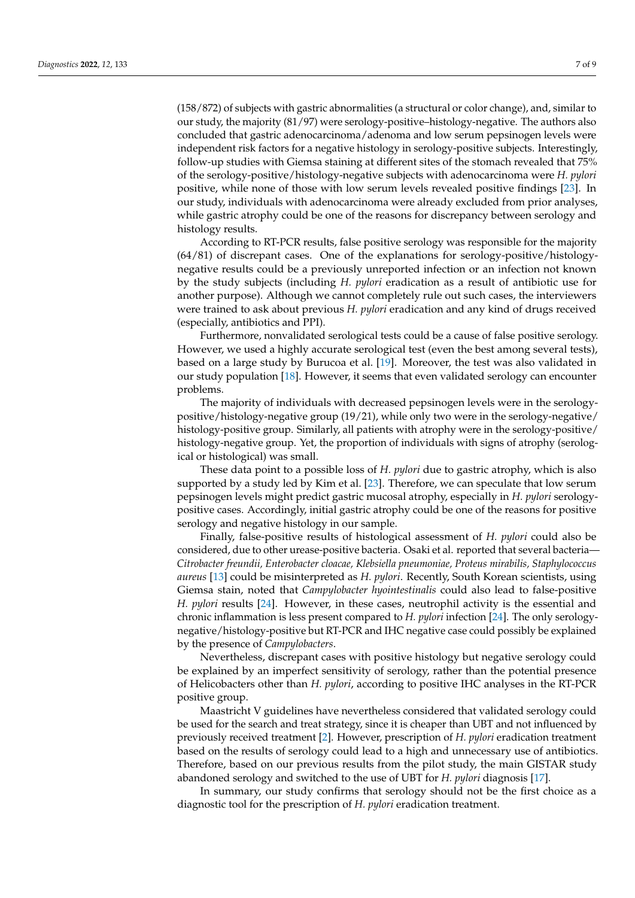(158/872) of subjects with gastric abnormalities (a structural or color change), and, similar to our study, the majority (81/97) were serology-positive–histology-negative. The authors also concluded that gastric adenocarcinoma/adenoma and low serum pepsinogen levels were independent risk factors for a negative histology in serology-positive subjects. Interestingly, follow-up studies with Giemsa staining at different sites of the stomach revealed that 75% of the serology-positive/histology-negative subjects with adenocarcinoma were *H. pylori* positive, while none of those with low serum levels revealed positive findings [\[23\]](#page-8-16). In our study, individuals with adenocarcinoma were already excluded from prior analyses, while gastric atrophy could be one of the reasons for discrepancy between serology and histology results.

According to RT-PCR results, false positive serology was responsible for the majority (64/81) of discrepant cases. One of the explanations for serology-positive/histologynegative results could be a previously unreported infection or an infection not known by the study subjects (including *H. pylori* eradication as a result of antibiotic use for another purpose). Although we cannot completely rule out such cases, the interviewers were trained to ask about previous *H. pylori* eradication and any kind of drugs received (especially, antibiotics and PPI).

Furthermore, nonvalidated serological tests could be a cause of false positive serology. However, we used a highly accurate serological test (even the best among several tests), based on a large study by Burucoa et al. [\[19\]](#page-8-12). Moreover, the test was also validated in our study population [\[18\]](#page-8-11). However, it seems that even validated serology can encounter problems.

The majority of individuals with decreased pepsinogen levels were in the serologypositive/histology-negative group (19/21), while only two were in the serology-negative/ histology-positive group. Similarly, all patients with atrophy were in the serology-positive/ histology-negative group. Yet, the proportion of individuals with signs of atrophy (serological or histological) was small.

These data point to a possible loss of *H. pylori* due to gastric atrophy, which is also supported by a study led by Kim et al. [\[23\]](#page-8-16). Therefore, we can speculate that low serum pepsinogen levels might predict gastric mucosal atrophy, especially in *H. pylori* serologypositive cases. Accordingly, initial gastric atrophy could be one of the reasons for positive serology and negative histology in our sample.

Finally, false-positive results of histological assessment of *H. pylori* could also be considered, due to other urease-positive bacteria. Osaki et al. reported that several bacteria— *Citrobacter freundii, Enterobacter cloacae, Klebsiella pneumoniae, Proteus mirabilis, Staphylococcus aureus* [\[13\]](#page-8-6) could be misinterpreted as *H. pylori*. Recently, South Korean scientists, using Giemsa stain, noted that *Campylobacter hyointestinalis* could also lead to false-positive *H. pylori* results [\[24\]](#page-8-17). However, in these cases, neutrophil activity is the essential and chronic inflammation is less present compared to *H. pylori* infection [\[24\]](#page-8-17). The only serologynegative/histology-positive but RT-PCR and IHC negative case could possibly be explained by the presence of *Campylobacters*.

Nevertheless, discrepant cases with positive histology but negative serology could be explained by an imperfect sensitivity of serology, rather than the potential presence of Helicobacters other than *H. pylori*, according to positive IHC analyses in the RT-PCR positive group.

Maastricht V guidelines have nevertheless considered that validated serology could be used for the search and treat strategy, since it is cheaper than UBT and not influenced by previously received treatment [\[2\]](#page-7-1). However, prescription of *H. pylori* eradication treatment based on the results of serology could lead to a high and unnecessary use of antibiotics. Therefore, based on our previous results from the pilot study, the main GISTAR study abandoned serology and switched to the use of UBT for *H. pylori* diagnosis [\[17\]](#page-8-10).

In summary, our study confirms that serology should not be the first choice as a diagnostic tool for the prescription of *H. pylori* eradication treatment.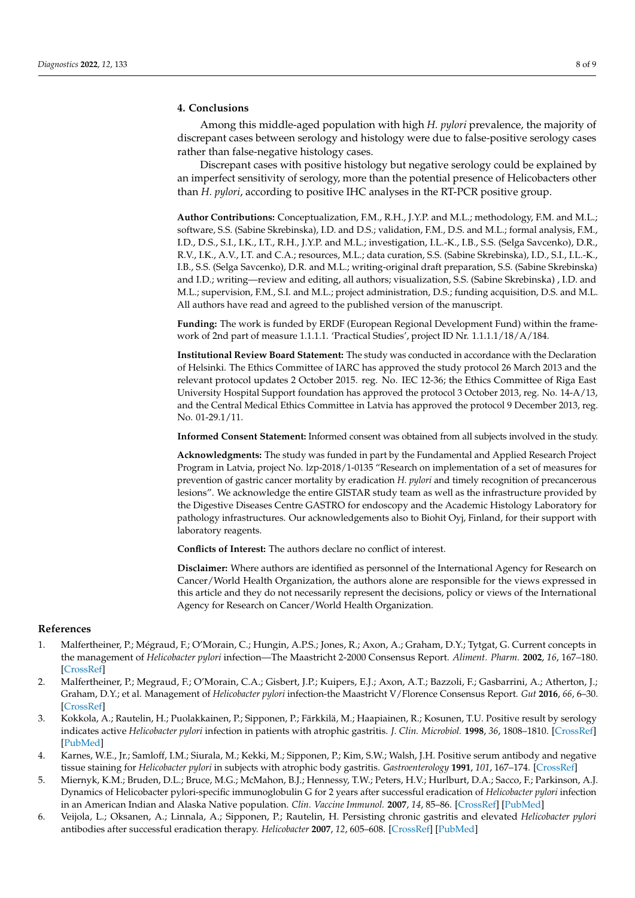### **4. Conclusions**

Among this middle-aged population with high *H. pylori* prevalence, the majority of discrepant cases between serology and histology were due to false-positive serology cases rather than false-negative histology cases.

Discrepant cases with positive histology but negative serology could be explained by an imperfect sensitivity of serology, more than the potential presence of Helicobacters other than *H. pylori*, according to positive IHC analyses in the RT-PCR positive group.

**Author Contributions:** Conceptualization, F.M., R.H., J.Y.P. and M.L.; methodology, F.M. and M.L.; software, S.S. (Sabine Skrebinska), I.D. and D.S.; validation, F.M., D.S. and M.L.; formal analysis, F.M., I.D., D.S., S.I., I.K., I.T., R.H., J.Y.P. and M.L.; investigation, I.L.-K., I.B., S.S. (Selga Savcenko), D.R., R.V., I.K., A.V., I.T. and C.A.; resources, M.L.; data curation, S.S. (Sabine Skrebinska), I.D., S.I., I.L.-K., I.B., S.S. (Selga Savcenko), D.R. and M.L.; writing-original draft preparation, S.S. (Sabine Skrebinska) and I.D.; writing—review and editing, all authors; visualization, S.S. (Sabine Skrebinska) , I.D. and M.L.; supervision, F.M., S.I. and M.L.; project administration, D.S.; funding acquisition, D.S. and M.L. All authors have read and agreed to the published version of the manuscript.

**Funding:** The work is funded by ERDF (European Regional Development Fund) within the framework of 2nd part of measure 1.1.1.1. 'Practical Studies', project ID Nr. 1.1.1.1/18/A/184.

**Institutional Review Board Statement:** The study was conducted in accordance with the Declaration of Helsinki. The Ethics Committee of IARC has approved the study protocol 26 March 2013 and the relevant protocol updates 2 October 2015. reg. No. IEC 12-36; the Ethics Committee of Riga East University Hospital Support foundation has approved the protocol 3 October 2013, reg. No. 14-A/13, and the Central Medical Ethics Committee in Latvia has approved the protocol 9 December 2013, reg. No. 01-29.1/11.

**Informed Consent Statement:** Informed consent was obtained from all subjects involved in the study.

**Acknowledgments:** The study was funded in part by the Fundamental and Applied Research Project Program in Latvia, project No. lzp-2018/1-0135 "Research on implementation of a set of measures for prevention of gastric cancer mortality by eradication *H. pylori* and timely recognition of precancerous lesions". We acknowledge the entire GISTAR study team as well as the infrastructure provided by the Digestive Diseases Centre GASTRO for endoscopy and the Academic Histology Laboratory for pathology infrastructures. Our acknowledgements also to Biohit Oyj, Finland, for their support with laboratory reagents.

**Conflicts of Interest:** The authors declare no conflict of interest.

**Disclaimer:** Where authors are identified as personnel of the International Agency for Research on Cancer/World Health Organization, the authors alone are responsible for the views expressed in this article and they do not necessarily represent the decisions, policy or views of the International Agency for Research on Cancer/World Health Organization.

#### **References**

- <span id="page-7-0"></span>1. Malfertheiner, P.; Mégraud, F.; O'Morain, C.; Hungin, A.P.S.; Jones, R.; Axon, A.; Graham, D.Y.; Tytgat, G. Current concepts in the management of *Helicobacter pylori* infection—The Maastricht 2-2000 Consensus Report. *Aliment. Pharm.* **2002**, *16*, 167–180. [\[CrossRef\]](http://doi.org/10.1046/j.1365-2036.2002.01169.x)
- <span id="page-7-1"></span>2. Malfertheiner, P.; Megraud, F.; O'Morain, C.A.; Gisbert, J.P.; Kuipers, E.J.; Axon, A.T.; Bazzoli, F.; Gasbarrini, A.; Atherton, J.; Graham, D.Y.; et al. Management of *Helicobacter pylori* infection-the Maastricht V/Florence Consensus Report. *Gut* **2016**, *66*, 6–30. [\[CrossRef\]](http://doi.org/10.1136/gutjnl-2016-312288)
- <span id="page-7-2"></span>3. Kokkola, A.; Rautelin, H.; Puolakkainen, P.; Sipponen, P.; Färkkilä, M.; Haapiainen, R.; Kosunen, T.U. Positive result by serology indicates active *Helicobacter pylori* infection in patients with atrophic gastritis. *J. Clin. Microbiol.* **1998**, *36*, 1808–1810. [\[CrossRef\]](http://doi.org/10.1128/JCM.36.6.1808-1810.1998) [\[PubMed\]](http://www.ncbi.nlm.nih.gov/pubmed/9620430)
- <span id="page-7-3"></span>4. Karnes, W.E., Jr.; Samloff, I.M.; Siurala, M.; Kekki, M.; Sipponen, P.; Kim, S.W.; Walsh, J.H. Positive serum antibody and negative tissue staining for *Helicobacter pylori* in subjects with atrophic body gastritis. *Gastroenterology* **1991**, *101*, 167–174. [\[CrossRef\]](http://doi.org/10.1016/0016-5085(91)90474-Y)
- <span id="page-7-4"></span>5. Miernyk, K.M.; Bruden, D.L.; Bruce, M.G.; McMahon, B.J.; Hennessy, T.W.; Peters, H.V.; Hurlburt, D.A.; Sacco, F.; Parkinson, A.J. Dynamics of Helicobacter pylori-specific immunoglobulin G for 2 years after successful eradication of *Helicobacter pylori* infection in an American Indian and Alaska Native population. *Clin. Vaccine Immunol.* **2007**, *14*, 85–86. [\[CrossRef\]](http://doi.org/10.1128/CVI.00253-06) [\[PubMed\]](http://www.ncbi.nlm.nih.gov/pubmed/17079433)
- <span id="page-7-5"></span>6. Veijola, L.; Oksanen, A.; Linnala, A.; Sipponen, P.; Rautelin, H. Persisting chronic gastritis and elevated *Helicobacter pylori* antibodies after successful eradication therapy. *Helicobacter* **2007**, *12*, 605–608. [\[CrossRef\]](http://doi.org/10.1111/j.1523-5378.2007.00549.x) [\[PubMed\]](http://www.ncbi.nlm.nih.gov/pubmed/18001400)